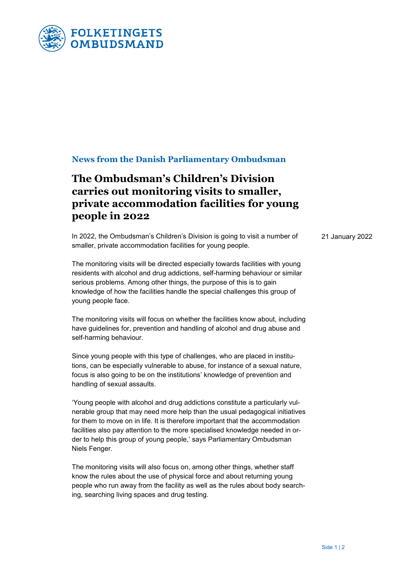

## **News from the Danish Parliamentary Ombudsman**

# **The Ombudsman's Children's Division carries out monitoring visits to smaller, private accommodation facilities for young people in 2022**

In 2022, the Ombudsman's Children's Division is going to visit a number of smaller, private accommodation facilities for young people.

The monitoring visits will be directed especially towards facilities with young residents with alcohol and drug addictions, self-harming behaviour or similar serious problems. Among other things, the purpose of this is to gain knowledge of how the facilities handle the special challenges this group of young people face.

The monitoring visits will focus on whether the facilities know about, including have guidelines for, prevention and handling of alcohol and drug abuse and self-harming behaviour.

Since young people with this type of challenges, who are placed in institutions, can be especially vulnerable to abuse, for instance of a sexual nature, focus is also going to be on the institutions' knowledge of prevention and handling of sexual assaults.

'Young people with alcohol and drug addictions constitute a particularly vulnerable group that may need more help than the usual pedagogical initiatives for them to move on in life. It is therefore important that the accommodation facilities also pay attention to the more specialised knowledge needed in order to help this group of young people,' says Parliamentary Ombudsman Niels Fenger.

The monitoring visits will also focus on, among other things, whether staff know the rules about the use of physical force and about returning young people who run away from the facility as well as the rules about body searching, searching living spaces and drug testing.

21 January 2022